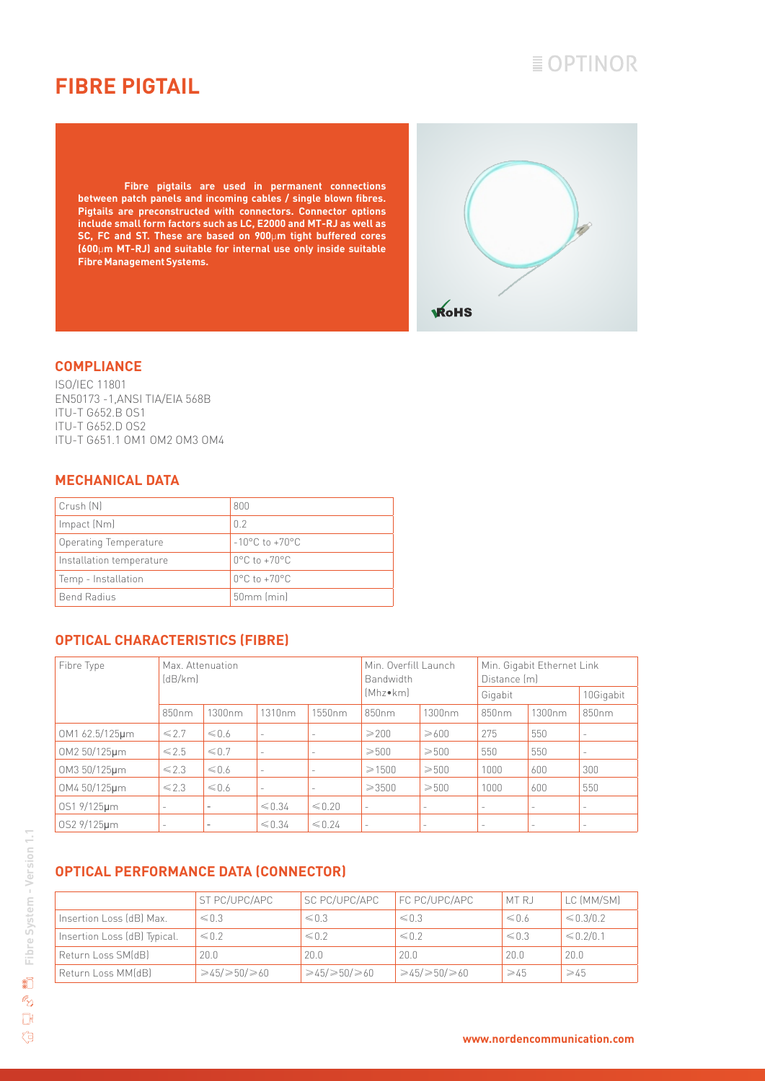# $\equiv$  OPTINOR

### **FIBRE PIGTAIL**

**Fibre pigtails are used in permanent connections between patch panels and incoming cables / single blown fibres. Pigtails are preconstructed with connectors. Connector options include small form factors such as LC, E2000 and MT-RJ as well as SC, FC and ST. These are based on 900**µ**m tight buffered cores (600**µ**m MT-RJ) and suitable for internal use only inside suitable Fibre Management Systems.**



#### **COMPLIANCE**

ISO/IEC 11801 EN50173 -1,ANSI TIA/EIA 568B ITU-T G652.B OS1 ITU-T G652.D OS2 ITU-T G651.1 OM1 OM2 OM3 OM4

#### **MECHANICAL DATA**

| Crush (N)                | 800                                |
|--------------------------|------------------------------------|
| Impact (Nm)              | 0 <sub>2</sub>                     |
| Operating Temperature    | $-10^{\circ}$ C to $+70^{\circ}$ C |
| Installation temperature | $0^{\circ}$ C to +70 $^{\circ}$ C  |
| Temp - Installation      | $0^{\circ}$ C to +70 $^{\circ}$ C  |
| <b>Bend Radius</b>       | 50mm (min)                         |

### **OPTICAL CHARACTERISTICS (FIBRE)**

| Fibre Type     | Max. Attenuation<br>(dB/km) |                          |                          |                          | Min. Overfill Launch<br>Bandwidth |                          | Min. Gigabit Ethernet Link<br>Distance (m) |                          |                          |
|----------------|-----------------------------|--------------------------|--------------------------|--------------------------|-----------------------------------|--------------------------|--------------------------------------------|--------------------------|--------------------------|
|                |                             |                          |                          |                          | [Mhz•km]                          |                          | Gigabit                                    |                          | 10Gigabit                |
|                | 850 <sub>nm</sub>           | 1300nm                   | 1310nm                   | 1550nm                   | 850 <sub>nm</sub>                 | 1300nm                   | 850nm                                      | 1300nm                   | 850nm                    |
| 0M1 62.5/125um | $\leq 2.7$                  | $\leq 0.6$               | $\overline{\phantom{a}}$ |                          | $\geqslant$ 200                   | $\geqslant600$           | 275                                        | 550                      | $\overline{\phantom{a}}$ |
| OM2 50/125um   | $\leq$ 2.5                  | $\leq 0.7$               | $\qquad \qquad -$        | $\overline{\phantom{a}}$ | $\geqslant$ 500                   | $≥500$                   | 550                                        | 550                      | $\qquad \qquad -$        |
| OM3 50/125µm   | $\leq 2.3$                  | $\leq 0.6$               | $\overline{\phantom{a}}$ | $\overline{\phantom{a}}$ | $\geq 1500$                       | $\geqslant$ 500          | 1000                                       | 600                      | 300                      |
| OM4 50/125µm   | $\leq 2.3$                  | $\leq 0.6$               | $\overline{\phantom{a}}$ | -                        | $\geq 3500$                       | $\geqslant 500$          | 1000                                       | 600                      | 550                      |
| 0S1 9/125µm    |                             | $\overline{\phantom{a}}$ | $\leq 0.34$              | $\leq 0.20$              | $\overline{a}$                    | $\overline{\phantom{a}}$ | $\sim$                                     | ۰                        | $\overline{\phantom{a}}$ |
| 0S2 9/125um    |                             |                          | $\leq 0.34$              | $\leq 0.24$              | $\sim$                            | $\overline{\phantom{a}}$ | $\overline{\phantom{a}}$                   | $\overline{\phantom{a}}$ | $\overline{\phantom{m}}$ |

### **OPTICAL PERFORMANCE DATA (CONNECTOR)**

|                              | ST PC/UPC/APC             | SC PC/UPC/APC             | FC PC/UPC/APC             | MT RJ          | LC (MM/SM)     |
|------------------------------|---------------------------|---------------------------|---------------------------|----------------|----------------|
| Insertion Loss (dB) Max.     | $\leqslant 0.3$           | $\leq 0.3$                | $\leq 0.3$                | $\leq 0.6$     | $\leq 0.3/0.2$ |
| Insertion Loss (dB) Typical. | $\leq 0.2$                | $\leq 0.2$                | $\leq 0.2$                | $\leq 0.3$     | $\leq 0.2/0.1$ |
| Return Loss SM(dB)           | 20.0                      | 20.0                      | 20.0                      | 20.0           | 20.0           |
| Return Loss MM(dB)           | $\geq 45/\geq 50/\geq 60$ | $\geq 45/\geq 50/\geq 60$ | $\geq 45/\geq 50/\geq 60$ | $\geqslant$ 45 | $\geqslant$ 45 |